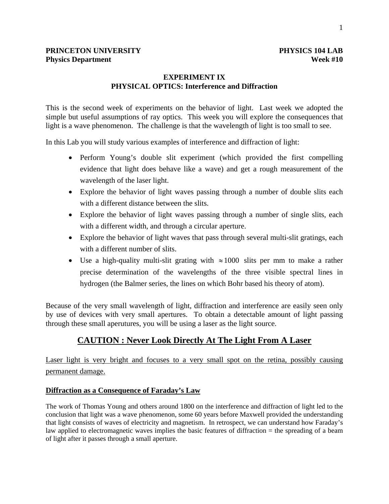# **EXPERIMENT IX PHYSICAL OPTICS: Interference and Diffraction**

This is the second week of experiments on the behavior of light. Last week we adopted the simple but useful assumptions of ray optics. This week you will explore the consequences that light is a wave phenomenon. The challenge is that the wavelength of light is too small to see.

In this Lab you will study various examples of interference and diffraction of light:

- Perform Young's double slit experiment (which provided the first compelling evidence that light does behave like a wave) and get a rough measurement of the wavelength of the laser light.
- Explore the behavior of light waves passing through a number of double slits each with a different distance between the slits.
- Explore the behavior of light waves passing through a number of single slits, each with a different width, and through a circular aperture.
- Explore the behavior of light waves that pass through several multi-slit gratings, each with a different number of slits.
- Use a high-quality multi-slit grating with  $\approx 1000$  slits per mm to make a rather precise determination of the wavelengths of the three visible spectral lines in hydrogen (the Balmer series, the lines on which Bohr based his theory of atom).

Because of the very small wavelength of light, diffraction and interference are easily seen only by use of devices with very small apertures. To obtain a detectable amount of light passing through these small aperutures, you will be using a laser as the light source.

# **CAUTION : Never Look Directly At The Light From A Laser**

Laser light is very bright and focuses to a very small spot on the retina, possibly causing permanent damage.

# **Diffraction as a Consequence of Faraday's Law**

The work of Thomas Young and others around 1800 on the interference and diffraction of light led to the conclusion that light was a wave phenomenon, some 60 years before Maxwell provided the understanding that light consists of waves of electricity and magnetism. In retrospect, we can understand how Faraday's law applied to electromagnetic waves implies the basic features of diffraction = the spreading of a beam of light after it passes through a small aperture.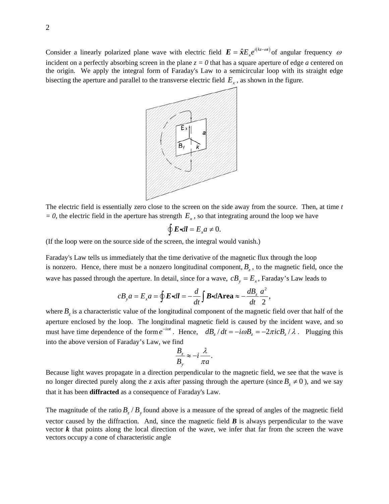Consider a linearly polarized plane wave with electric field  $E = \hat{x} E_x e^{i(kz - \omega t)}$  of angular frequency  $\omega$ incident on a perfectly absorbing screen in the plane  $z = 0$  that has a square aperture of edge *a* centered on the origin. We apply the integral form of Faraday's Law to a semicircular loop with its straight edge bisecting the aperture and parallel to the transverse electric field  $E<sub>x</sub>$ , as shown in the figure.



The electric field is essentially zero close to the screen on the side away from the source. Then, at time *t*   $= 0$ , the electric field in the aperture has strength  $E<sub>x</sub>$ , so that integrating around the loop we have

$$
\oint \mathbf{E} \cdot d\mathbf{l} = E_x a \neq 0.
$$

(If the loop were on the source side of the screen, the integral would vanish.)

Faraday's Law tells us immediately that the time derivative of the magnetic flux through the loop is nonzero. Hence, there must be a nonzero longitudinal component,  $B<sub>z</sub>$ , to the magnetic field, once the wave has passed through the aperture. In detail, since for a wave,  $cB_y = E_x$ , Faraday's Law leads to

$$
cB_{y}a = E_{x}a = \oint \mathbf{E} \cdot d\mathbf{l} = -\frac{d}{dt} \int \mathbf{B} \cdot d\mathbf{Area} \approx -\frac{dB_{z}}{dt} \frac{a^{2}}{2},
$$

where  $B_z$  is a characteristic value of the longitudinal component of the magnetic field over that half of the aperture enclosed by the loop. The longitudinal magnetic field is caused by the incident wave, and so must have time dependence of the form  $e^{-i\omega t}$ . Hence,  $dB_z/dt = -i\omega B_z = -2\pi i cB_z/\lambda$ . Plugging this into the above version of Faraday's Law, we find

$$
\frac{B_z}{B_y} \approx -i\frac{\lambda}{\pi a}.
$$

Because light waves propagate in a direction perpendicular to the magnetic field, we see that the wave is no longer directed purely along the *z* axis after passing through the aperture (since  $B_z \neq 0$ ), and we say that it has been **diffracted** as a consequence of Faraday's Law.

The magnitude of the ratio  $B_z / B_y$  found above is a measure of the spread of angles of the magnetic field vector caused by the diffraction. And, since the magnetic field  $\bm{B}$  is always perpendicular to the wave vector  $k$  that points along the local direction of the wave, we infer that far from the screen the wave vectors occupy a cone of characteristic angle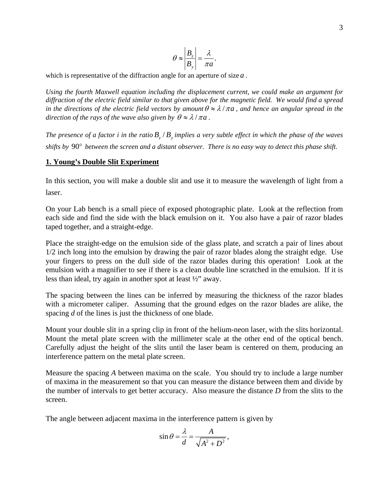$$
\theta \approx \left| \frac{B_z}{B_y} \right| = \frac{\lambda}{\pi a}.
$$

which is representative of the diffraction angle for an aperture of size *a* .

*Using the fourth Maxwell equation including the displacement current, we could make an argument for diffraction of the electric field similar to that given above for the magnetic field. We would find a spread in the directions of the electric field vectors by amount*  $\theta \approx \lambda / \pi a$ , and hence an angular spread in the *direction of the rays of the wave also given by*  $\theta \approx \lambda / \pi a$ *.* 

*The presence of a factor i in the ratio*  $B_z/B$  *implies a very subtle effect in which the phase of the waves shifts by* 90° *between the screen and a distant observer. There is no easy way to detect this phase shift.* 

#### **1. Young's Double Slit Experiment**

In this section, you will make a double slit and use it to measure the wavelength of light from a laser.

On your Lab bench is a small piece of exposed photographic plate. Look at the reflection from each side and find the side with the black emulsion on it. You also have a pair of razor blades taped together, and a straight-edge.

Place the straight-edge on the emulsion side of the glass plate, and scratch a pair of lines about 1/2 inch long into the emulsion by drawing the pair of razor blades along the straight edge. Use your fingers to press on the dull side of the razor blades during this operation! Look at the emulsion with a magnifier to see if there is a clean double line scratched in the emulsion. If it is less than ideal, try again in another spot at least ½" away.

The spacing between the lines can be inferred by measuring the thickness of the razor blades with a micrometer caliper. Assuming that the ground edges on the razor blades are alike, the spacing *d* of the lines is just the thickness of one blade.

Mount your double slit in a spring clip in front of the helium-neon laser, with the slits horizontal. Mount the metal plate screen with the millimeter scale at the other end of the optical bench. Carefully adjust the height of the slits until the laser beam is centered on them, producing an interference pattern on the metal plate screen.

Measure the spacing *A* between maxima on the scale. You should try to include a large number of maxima in the measurement so that you can measure the distance between them and divide by the number of intervals to get better accuracy. Also measure the distance *D* from the slits to the screen.

The angle between adjacent maxima in the interference pattern is given by

$$
\sin \theta = \frac{\lambda}{d} = \frac{A}{\sqrt{A^2 + D^2}},
$$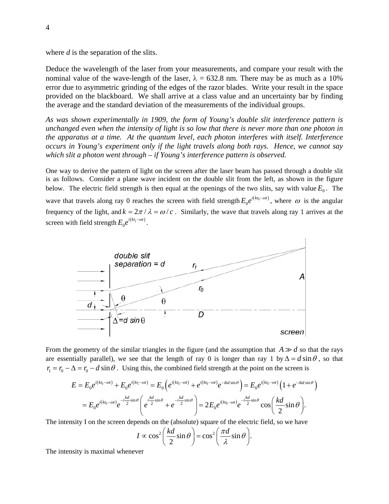where *d* is the separation of the slits.

Deduce the wavelength of the laser from your measurements, and compare your result with the nominal value of the wave-length of the laser,  $\lambda = 632.8$  nm. There may be as much as a 10% error due to asymmetric grinding of the edges of the razor blades. Write your result in the space provided on the blackboard. We shall arrive at a class value and an uncertainty bar by finding the average and the standard deviation of the measurements of the individual groups.

*As was shown experimentally in 1909, the form of Young's double slit interference pattern is unchanged even when the intensity of light is so low that there is never more than one photon in the apparatus at a time. At the quantum level, each photon interferes with itself. Interference occurs in Young's experiment only if the light travels along both rays. Hence, we cannot say which slit a photon went through – if Young's interference pattern is observed.* 

One way to derive the pattern of light on the screen after the laser beam has passed through a double slit is as follows. Consider a plane wave incident on the double slit from the left, as shown in the figure below. The electric field strength is then equal at the openings of the two slits, say with value  $E_0$ . The wave that travels along ray 0 reaches the screen with field strength  $E_0 e^{i(kr_0 - \omega t)}$ , where  $\omega$  is the angular frequency of the light, and  $k = 2\pi / \lambda = \omega / c$ . Similarly, the wave that travels along ray 1 arrives at the screen with field strength  $E_0 e^{i(kr_1 - \omega t)}$ .



From the geometry of the similar triangles in the figure (and the assumption that  $A \gg d$  so that the rays are essentially parallel), we see that the length of ray 0 is longer than ray 1 by  $\Delta = d \sin \theta$ , so that  $r_1 = r_0 - \Delta = r_0 - d \sin \theta$ . Using this, the combined field strength at the point on the screen is

$$
E = E_0 e^{i(kr_0 - \omega t)} + E_0 e^{i(kr_1 - \omega t)} = E_0 \left( e^{i(kr_0 - \omega t)} + e^{i(kr_0 - \omega t)} e^{-ikd\sin\theta} \right) = E_0 e^{i(kr_0 - \omega t)} \left( 1 + e^{-ikd\sin\theta} \right)
$$
  
=  $E_0 e^{i(kr_0 - \omega t)} e^{-i\frac{kd}{2}\sin\theta} \left( e^{i\frac{kd}{2}\sin\theta} + e^{-i\frac{kd}{2}\sin\theta} \right) = 2E_0 e^{i(kr_0 - \omega t)} e^{-i\frac{kd}{2}\sin\theta} \cos\left(\frac{kd}{2}\sin\theta\right).$ 

The intensity I on the screen depends on the (absolute) square of the electric field, so we have

$$
I \propto \cos^2\left(\frac{kd}{2}\sin\theta\right) = \cos^2\left(\frac{\pi d}{\lambda}\sin\theta\right).
$$

The intensity is maximal whenever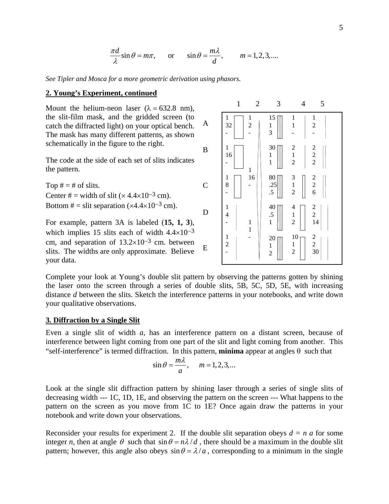$$
\frac{\pi d}{\lambda}\sin\theta = m\pi, \quad \text{or} \quad \sin\theta = \frac{m\lambda}{d}, \quad m = 1, 2, 3, \dots
$$

*See Tipler and Mosca for a more geometric derivation using phasors.* 

#### **2. Young's Experiment, continued**

Mount the helium-neon laser ( $\lambda = 632.8$  nm), the slit-film mask, and the gridded screen (to catch the diffracted light) on your optical bench. The mask has many different patterns, as shown schematically in the figure to the right.

The code at the side of each set of slits indicates the pattern.

Top  $# = #$  of slits. Center # = width of slit  $(x 4.4 \times 10^{-3}$  cm). Bottom  $# =$  slit separation (×4.4×10<sup>-3</sup> cm).

For example, pattern 3A is labeled (**15, 1, 3**), which implies 15 slits each of width  $4.4\times10^{-3}$ cm, and separation of 13.2×10−3 cm. between slits. The widths are only approximate. Believe your data.



Complete your look at Young's double slit pattern by observing the patterns gotten by shining the laser onto the screen through a series of double slits, 5B, 5C, 5D, 5E, with increasing distance *d* between the slits. Sketch the interference patterns in your notebooks, and write down your qualitative observations.

#### **3. Diffraction by a Single Slit**

Even a single slit of width *a*, has an interference pattern on a distant screen, because of interference between light coming from one part of the slit and light coming from another. This "self-interference" is termed diffraction. In this pattern, **minima** appear at angles  $\theta$  such that

$$
\sin \theta = \frac{m\lambda}{a}, \quad m = 1, 2, 3, \dots
$$

Look at the single slit diffraction pattern by shining laser through a series of single slits of decreasing width --- 1C, 1D, 1E, and observing the pattern on the screen --- What happens to the pattern on the screen as you move from 1C to 1E? Once again draw the patterns in your notebook and write down your observations.

Reconsider your results for experiment 2. If the double slit separation obeys  $d = n a$  for some integer *n*, then at angle  $\theta$  such that  $\sin \theta = n\lambda/d$ , there should be a maximum in the double slit pattern; however, this angle also obeys  $\sin \theta = \lambda/a$ , corresponding to a minimum in the single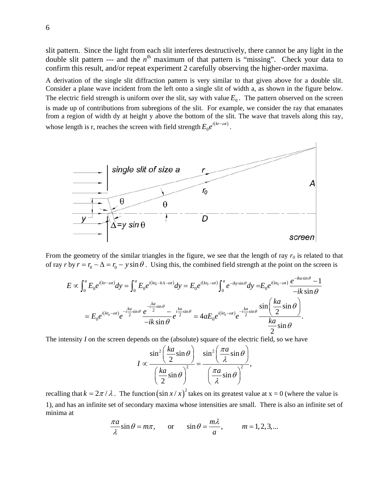slit pattern. Since the light from each slit interferes destructively, there cannot be any light in the double slit pattern --- and the  $n^{\text{th}}$  maximum of that pattern is "missing". Check your data to confirm this result, and/or repeat experiment 2 carefully observing the higher-order maxima.

A derivation of the single slit diffraction pattern is very similar to that given above for a double slit. Consider a plane wave incident from the left onto a single slit of width a, as shown in the figure below. The electric field strength is uniform over the slit, say with value  $E_0$ . The pattern observed on the screen is made up of contributions from subregions of the slit. For example, we consider the ray that emanates from a region of width dy at height y above the bottom of the slit. The wave that travels along this ray, whose length is r, reaches the screen with field strength  $E_0 e^{i(kr - \omega t)}$ .



From the geometry of the similar triangles in the figure, we see that the length of ray  $r_0$  is related to that of ray  $r$  by  $r = r_0 - \Delta = r_0 - y \sin \theta$ . Using this, the combined field strength at the point on the screen is

$$
E \propto \int_0^a E_0 e^{i(kr-\omega t)} dy = \int_0^a E_0 e^{i(kr_0 - k\Delta - \omega t)} dy = E_0 e^{i(kr_0 - \omega t)} \int_0^a e^{-iky \sin \theta} dy = E_0 e^{i(kr_0 - \omega t)} \frac{e^{-ik\omega t} - 1}{-ik\sin\theta}
$$
  
=  $E_0 e^{i(kr_0 - \omega t)} e^{-i\frac{ka}{2} \sin\theta} \frac{e^{-i\frac{ka}{2} \sin\theta}}{-ik\sin\theta} e^{-i\frac{ka}{2} \sin\theta} = 4aE_0 e^{i(kr_0 - \omega t)} e^{-i\frac{ka}{2} \sin\theta} \frac{\sin\left(\frac{ka}{2}\sin\theta\right)}{\frac{ka}{2} \sin\theta}.$ 

The intensity *I* on the screen depends on the (absolute) square of the electric field, so we have

$$
I \propto \frac{\sin^2\left(\frac{ka}{2}\sin\theta\right)}{\left(\frac{ka}{2}\sin\theta\right)^2} = \frac{\sin^2\left(\frac{\pi a}{\lambda}\sin\theta\right)}{\left(\frac{\pi a}{\lambda}\sin\theta\right)^2},
$$

recalling that  $k = 2\pi / \lambda$ . The function  $(\sin x / x)^2$  takes on its greatest value at  $x = 0$  (where the value is 1), and has an infinite set of secondary maxima whose intensities are small. There is also an infinite set of minima at

$$
\frac{\pi a}{\lambda} \sin \theta = m\pi, \quad \text{or} \quad \sin \theta = \frac{m\lambda}{a}, \quad m = 1, 2, 3, \dots
$$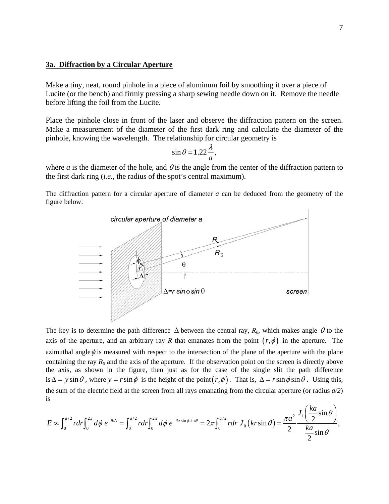#### **3a. Diffraction by a Circular Aperture**

Make a tiny, neat, round pinhole in a piece of aluminum foil by smoothing it over a piece of Lucite (or the bench) and firmly pressing a sharp sewing needle down on it. Remove the needle before lifting the foil from the Lucite.

Place the pinhole close in front of the laser and observe the diffraction pattern on the screen. Make a measurement of the diameter of the first dark ring and calculate the diameter of the pinhole, knowing the wavelength. The relationship for circular geometry is

$$
\sin \theta = 1.22 \frac{\lambda}{a},
$$

where *a* is the diameter of the hole, and  $\theta$  is the angle from the center of the diffraction pattern to the first dark ring (*i.e.*, the radius of the spot's central maximum).

The diffraction pattern for a circular aperture of diameter *a* can be deduced from the geometry of the figure below.



The key is to determine the path difference  $\Delta$  between the central ray,  $R_0$ , which makes angle  $\theta$  to the axis of the aperture, and an arbitrary ray *R* that emanates from the point  $(r, \phi)$  in the aperture. The azimuthal angle  $\phi$  is measured with respect to the intersection of the plane of the aperture with the plane containing the ray  $R_0$  and the axis of the aperture. If the observation point on the screen is directly above the axis, as shown in the figure, then just as for the case of the single slit the path difference is  $\Delta = y \sin \theta$ , where  $y = r \sin \phi$  is the height of the point $(r, \phi)$ . That is,  $\Delta = r \sin \phi \sin \theta$ . Using this, the sum of the electric field at the screen from all rays emanating from the circular aperture (or radius *a/2*) is

$$
E \propto \int_0^{a/2} r dr \int_0^{2\pi} d\phi \ e^{-ik\Delta} = \int_0^{a/2} r dr \int_0^{2\pi} d\phi \ e^{-ikr\sin\phi\sin\theta} = 2\pi \int_0^{a/2} r dr \ J_0\left(kr\sin\theta\right) = \frac{\pi a^2}{2} \frac{J_1\left(\frac{ka}{2}\sin\theta\right)}{\frac{ka}{2}\sin\theta},
$$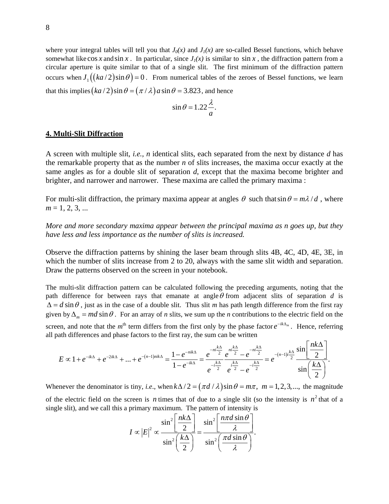where your integral tables will tell you that  $J_0(x)$  and  $J_1(x)$  are so-called Bessel functions, which behave somewhat like cos *x* and sin *x*. In particular, since  $J_1(x)$  is similar to sin *x*, the diffraction pattern from a circular aperture is quite similar to that of a single slit. The first minimum of the diffraction pattern occurs when  $J_1((ka/2)\sin\theta) = 0$ . From numerical tables of the zeroes of Bessel functions, we learn that this implies  $(ka/2) \sin \theta = (\pi/\lambda) a \sin \theta = 3.823$ , and hence

$$
\sin \theta = 1.22 \frac{\lambda}{a}.
$$

#### **4. Multi-Slit Diffraction**

A screen with multiple slit, *i.e., n* identical slits, each separated from the next by distance *d* has the remarkable property that as the number *n* of slits increases, the maxima occur exactly at the same angles as for a double slit of separation *d*, except that the maxima become brighter and brighter, and narrower and narrower. These maxima are called the primary maxima :

For multi-slit diffraction, the primary maxima appear at angles  $\theta$  such that  $\sin \theta = m \lambda / d$ , where  $m = 1, 2, 3, ...$ 

*More and more secondary maxima appear between the principal maxima as n goes up, but they have less and less importance as the number of slits is increased.* 

Observe the diffraction patterns by shining the laser beam through slits 4B, 4C, 4D, 4E, 3E, in which the number of slits increase from 2 to 20, always with the same slit width and separation. Draw the patterns observed on the screen in your notebook.

The multi-slit diffraction pattern can be calculated following the preceding arguments, noting that the path difference for between rays that emanate at angle  $\theta$  from adjacent slits of separation  $d$  is  $\Delta = d \sin \theta$ , just as in the case of a double slit. Thus slit *m* has path length difference from the first ray given by  $\Delta_m = md \sin \theta$ . For an array of *n* slits, we sum up the *n* contributions to the electric field on the screen, and note that the  $m^{\text{th}}$  term differs from the first only by the phase factor  $e^{-ik\Delta_m}$ . Hence, referring all path differences and phase factors to the first ray, the sum can be written

$$
E \propto 1 + e^{-ik\Delta} + e^{-2ik\Delta} + ... + e^{-(n-1)nik\Delta} = \frac{1 - e^{-nik\Delta}}{1 - e^{-ik\Delta}} = \frac{e^{-n\frac{k\Delta}{2}}}{e^{-i\frac{k\Delta}{2}}} \frac{e^{n\frac{k\Delta}{2}} - e^{-n\frac{k\Delta}{2}}}{e^{i\frac{k\Delta}{2}} - e^{-i\frac{k\Delta}{2}}} = e^{-(n-1)i\frac{k\Delta}{2}} \frac{\sin\left(\frac{n k\Delta}{2}\right)}{\sin\left(\frac{k\Delta}{2}\right)}.
$$

Whenever the denominator is tiny, *i.e.*, when  $k\Delta/2 = (\pi d / \lambda) \sin \theta = m\pi$ ,  $m = 1, 2, 3, ...$ , the magnitude of the electric field on the screen is *n* times that of due to a single slit (so the intensity is  $n^2$  that of a single slit), and we call this a primary maximum. The pattern of intensity is

$$
I \propto |E|^2 \propto \frac{\sin^2 \left[\frac{nk\Delta}{2}\right]}{\sin^2 \left(\frac{k\Delta}{2}\right)} = \frac{\sin^2 \left[\frac{n\pi d \sin \theta}{\lambda}\right]}{\sin^2 \left(\frac{\pi d \sin \theta}{\lambda}\right)}.
$$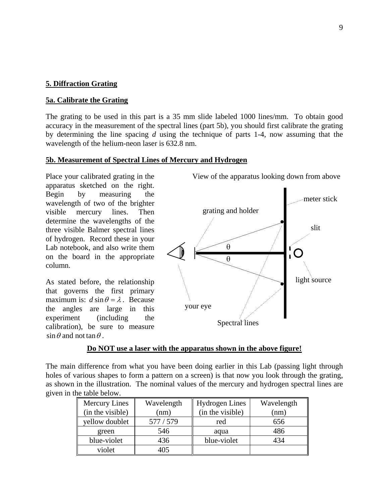# **5. Diffraction Grating**

## **5a. Calibrate the Grating**

The grating to be used in this part is a 35 mm slide labeled 1000 lines/mm. To obtain good accuracy in the measurement of the spectral lines (part 5b), you should first calibrate the grating by determining the line spacing *d* using the technique of parts 1-4, now assuming that the wavelength of the helium-neon laser is 632.8 nm.

### **5b. Measurement of Spectral Lines of Mercury and Hydrogen**

Place your calibrated grating in the apparatus sketched on the right. Begin by measuring the wavelength of two of the brighter visible mercury lines. Then determine the wavelengths of the three visible Balmer spectral lines of hydrogen. Record these in your Lab notebook, and also write them on the board in the appropriate column.

As stated before, the relationship that governs the first primary maximum is:  $d \sin \theta = \lambda$ . Because the angles are large in this experiment (including the calibration), be sure to measure  $\sin \theta$  and not tan  $\theta$ .

meter stick grating and holder slit θ Ő θ light source your eye Spectral lines

#### **Do NOT use a laser with the apparatus shown in the above figure!**

The main difference from what you have been doing earlier in this Lab (passing light through holes of various shapes to form a pattern on a screen) is that now you look through the grating, as shown in the illustration. The nominal values of the mercury and hydrogen spectral lines are given in the table below.

| <b>Mercury Lines</b> | Wavelength | <b>Hydrogen Lines</b> | Wavelength |
|----------------------|------------|-----------------------|------------|
| (in the visible)     | (nm)       | (in the visible)      | (nm)       |
| yellow doublet       | 577 / 579  | red                   | 656        |
| green                | 546        | aqua                  | 486        |
| blue-violet          | 436        | blue-violet           | 434        |
| violet               | 405        |                       |            |

View of the apparatus looking down from above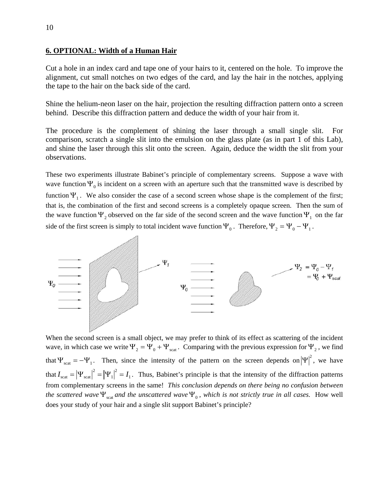#### **6. OPTIONAL: Width of a Human Hair**

Cut a hole in an index card and tape one of your hairs to it, centered on the hole. To improve the alignment, cut small notches on two edges of the card, and lay the hair in the notches, applying the tape to the hair on the back side of the card.

Shine the helium-neon laser on the hair, projection the resulting diffraction pattern onto a screen behind. Describe this diffraction pattern and deduce the width of your hair from it.

The procedure is the complement of shining the laser through a small single slit. For comparison, scratch a single slit into the emulsion on the glass plate (as in part 1 of this Lab), and shine the laser through this slit onto the screen. Again, deduce the width the slit from your observations.

These two experiments illustrate Babinet's principle of complementary screens. Suppose a wave with wave function  $\Psi_0$  is incident on a screen with an aperture such that the transmitted wave is described by function  $\Psi_1$ . We also consider the case of a second screen whose shape is the complement of the first; that is, the combination of the first and second screens is a completely opaque screen. Then the sum of the wave function  $\Psi_2$  observed on the far side of the second screen and the wave function  $\Psi_1$  on the far side of the first screen is simply to total incident wave function  $\Psi_0$ . Therefore,  $\Psi_2 = \Psi_0 - \Psi_1$ .



When the second screen is a small object, we may prefer to think of its effect as scattering of the incident wave, in which case we write  $\Psi_2 = \Psi_0 + \Psi_{\text{scat}}$ . Comparing with the previous expression for  $\Psi_2$ , we find that  $\Psi_{\text{scat}} = -\Psi_1$ . Then, since the intensity of the pattern on the screen depends on  $|\Psi|^2$ , we have that  $I_{\text{scat}} = |\Psi_{\text{scat}}|^2 = |\Psi_1|^2 = I_1$ . Thus, Babinet's principle is that the intensity of the diffraction patterns from complementary screens in the same! *This conclusion depends on there being no confusion between the scattered wave*  $\Psi_{\text{scat}}$  *and the unscattered wave*  $\Psi_{0}$ *, which is not strictly true in all cases.* How well does your study of your hair and a single slit support Babinet's principle?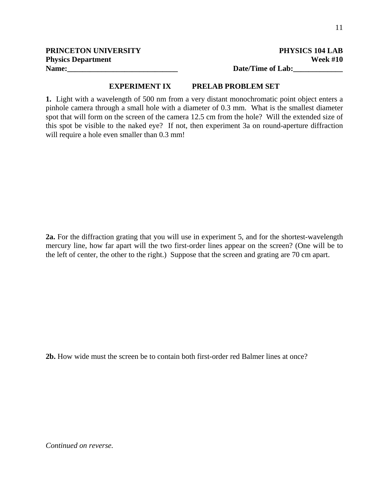**PRINCETON UNIVERSITY** PHYSICS 104 LAB

## **EXPERIMENT IX PRELAB PROBLEM SET**

**1.** Light with a wavelength of 500 nm from a very distant monochromatic point object enters a pinhole camera through a small hole with a diameter of 0.3 mm. What is the smallest diameter spot that will form on the screen of the camera 12.5 cm from the hole? Will the extended size of this spot be visible to the naked eye? If not, then experiment 3a on round-aperture diffraction will require a hole even smaller than  $0.3$  mm!

**2a.** For the diffraction grating that you will use in experiment 5, and for the shortest-wavelength mercury line, how far apart will the two first-order lines appear on the screen? (One will be to the left of center, the other to the right.) Suppose that the screen and grating are 70 cm apart.

**2b.** How wide must the screen be to contain both first-order red Balmer lines at once?